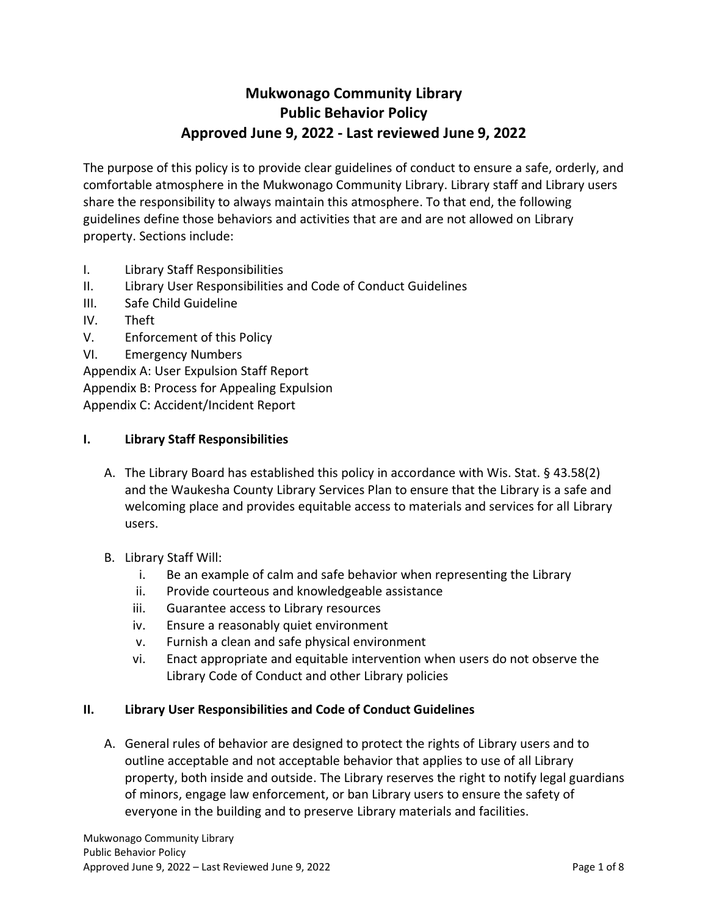# **Mukwonago Community Library Public Behavior Policy Approved June 9, 2022 - Last reviewed June 9, 2022**

The purpose of this policy is to provide clear guidelines of conduct to ensure a safe, orderly, and comfortable atmosphere in the Mukwonago Community Library. Library staff and Library users share the responsibility to always maintain this atmosphere. To that end, the following guidelines define those behaviors and activities that are and are not allowed on Library property. Sections include:

- I. Library Staff Responsibilities
- II. Library User Responsibilities and Code of Conduct Guidelines
- III. Safe Child Guideline
- IV. Theft
- V. Enforcement of this Policy
- VI. Emergency Numbers

Appendix A: User Expulsion Staff Report

Appendix B: Process for Appealing Expulsion

Appendix C: Accident/Incident Report

### **I. Library Staff Responsibilities**

- A. The Library Board has established this policy in accordance with Wis. Stat. § 43.58(2) and the Waukesha County Library Services Plan to ensure that the Library is a safe and welcoming place and provides equitable access to materials and services for all Library users.
- B. Library Staff Will:
	- i. Be an example of calm and safe behavior when representing the Library
	- ii. Provide courteous and knowledgeable assistance
	- iii. Guarantee access to Library resources
	- iv. Ensure a reasonably quiet environment
	- v. Furnish a clean and safe physical environment
	- vi. Enact appropriate and equitable intervention when users do not observe the Library Code of Conduct and other Library policies

### **II. Library User Responsibilities and Code of Conduct Guidelines**

A. General rules of behavior are designed to protect the rights of Library users and to outline acceptable and not acceptable behavior that applies to use of all Library property, both inside and outside. The Library reserves the right to notify legal guardians of minors, engage law enforcement, or ban Library users to ensure the safety of everyone in the building and to preserve Library materials and facilities.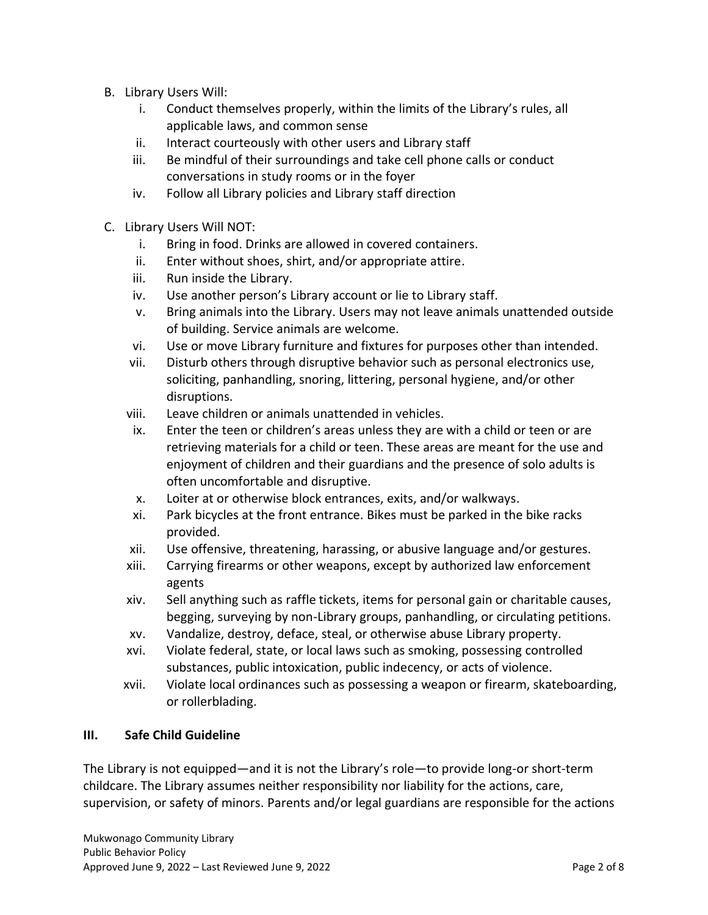- B. Library Users Will:
	- i. Conduct themselves properly, within the limits of the Library's rules, all applicable laws, and common sense
	- ii. Interact courteously with other users and Library staff
	- iii. Be mindful of their surroundings and take cell phone calls or conduct conversations in study rooms or in the foyer
	- iv. Follow all Library policies and Library staff direction
- C. Library Users Will NOT:
	- i. Bring in food. Drinks are allowed in covered containers.
	- ii. Enter without shoes, shirt, and/or appropriate attire.
	- iii. Run inside the Library.
	- iv. Use another person's Library account or lie to Library staff.
	- v. Bring animals into the Library. Users may not leave animals unattended outside of building. Service animals are welcome.
	- vi. Use or move Library furniture and fixtures for purposes other than intended.
	- vii. Disturb others through disruptive behavior such as personal electronics use, soliciting, panhandling, snoring, littering, personal hygiene, and/or other disruptions.
	- viii. Leave children or animals unattended in vehicles.
	- ix. Enter the teen or children's areas unless they are with a child or teen or are retrieving materials for a child or teen. These areas are meant for the use and enjoyment of children and their guardians and the presence of solo adults is often uncomfortable and disruptive.
	- x. Loiter at or otherwise block entrances, exits, and/or walkways.
	- xi. Park bicycles at the front entrance. Bikes must be parked in the bike racks provided.
	- xii. Use offensive, threatening, harassing, or abusive language and/or gestures.
	- xiii. Carrying firearms or other weapons, except by authorized law enforcement agents
	- xiv. Sell anything such as raffle tickets, items for personal gain or charitable causes, begging, surveying by non-Library groups, panhandling, or circulating petitions.
	- xv. Vandalize, destroy, deface, steal, or otherwise abuse Library property.
	- xvi. Violate federal, state, or local laws such as smoking, possessing controlled substances, public intoxication, public indecency, or acts of violence.
	- xvii. Violate local ordinances such as possessing a weapon or firearm, skateboarding, or rollerblading.

### **III. Safe Child Guideline**

The Library is not equipped—and it is not the Library's role—to provide long-or short-term childcare. The Library assumes neither responsibility nor liability for the actions, care, supervision, or safety of minors. Parents and/or legal guardians are responsible for the actions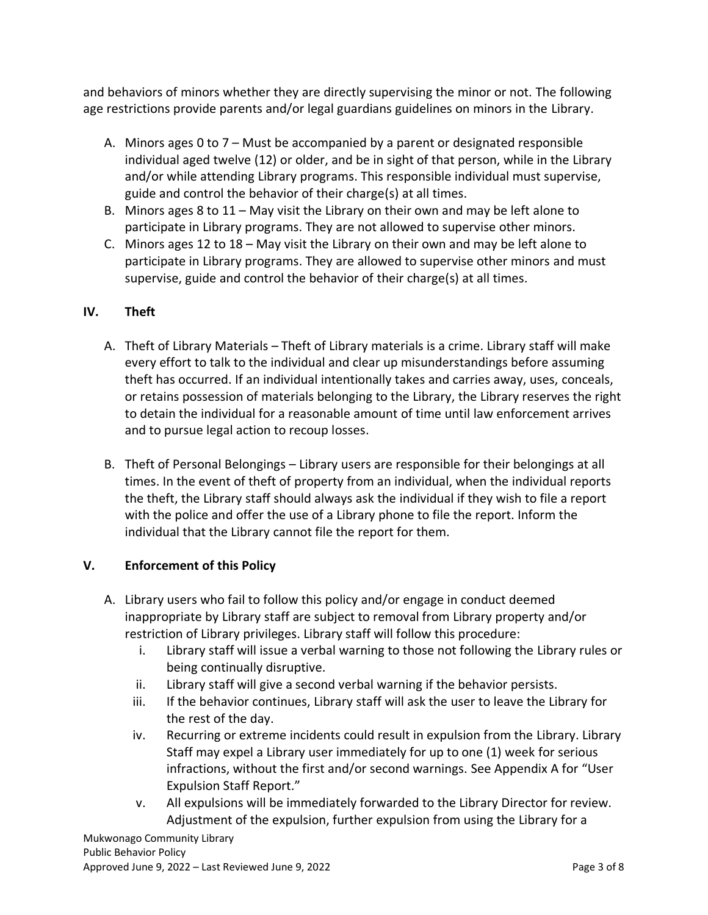and behaviors of minors whether they are directly supervising the minor or not. The following age restrictions provide parents and/or legal guardians guidelines on minors in the Library.

- A. Minors ages 0 to 7 Must be accompanied by a parent or designated responsible individual aged twelve (12) or older, and be in sight of that person, while in the Library and/or while attending Library programs. This responsible individual must supervise, guide and control the behavior of their charge(s) at all times.
- B. Minors ages 8 to 11 May visit the Library on their own and may be left alone to participate in Library programs. They are not allowed to supervise other minors.
- C. Minors ages 12 to 18 May visit the Library on their own and may be left alone to participate in Library programs. They are allowed to supervise other minors and must supervise, guide and control the behavior of their charge(s) at all times.

## **IV. Theft**

- A. Theft of Library Materials Theft of Library materials is a crime. Library staff will make every effort to talk to the individual and clear up misunderstandings before assuming theft has occurred. If an individual intentionally takes and carries away, uses, conceals, or retains possession of materials belonging to the Library, the Library reserves the right to detain the individual for a reasonable amount of time until law enforcement arrives and to pursue legal action to recoup losses.
- B. Theft of Personal Belongings Library users are responsible for their belongings at all times. In the event of theft of property from an individual, when the individual reports the theft, the Library staff should always ask the individual if they wish to file a report with the police and offer the use of a Library phone to file the report. Inform the individual that the Library cannot file the report for them.

### **V. Enforcement of this Policy**

- A. Library users who fail to follow this policy and/or engage in conduct deemed inappropriate by Library staff are subject to removal from Library property and/or restriction of Library privileges. Library staff will follow this procedure:
	- i. Library staff will issue a verbal warning to those not following the Library rules or being continually disruptive.
	- ii. Library staff will give a second verbal warning if the behavior persists.
	- iii. If the behavior continues, Library staff will ask the user to leave the Library for the rest of the day.
	- iv. Recurring or extreme incidents could result in expulsion from the Library. Library Staff may expel a Library user immediately for up to one (1) week for serious infractions, without the first and/or second warnings. See Appendix A for "User Expulsion Staff Report."
	- v. All expulsions will be immediately forwarded to the Library Director for review. Adjustment of the expulsion, further expulsion from using the Library for a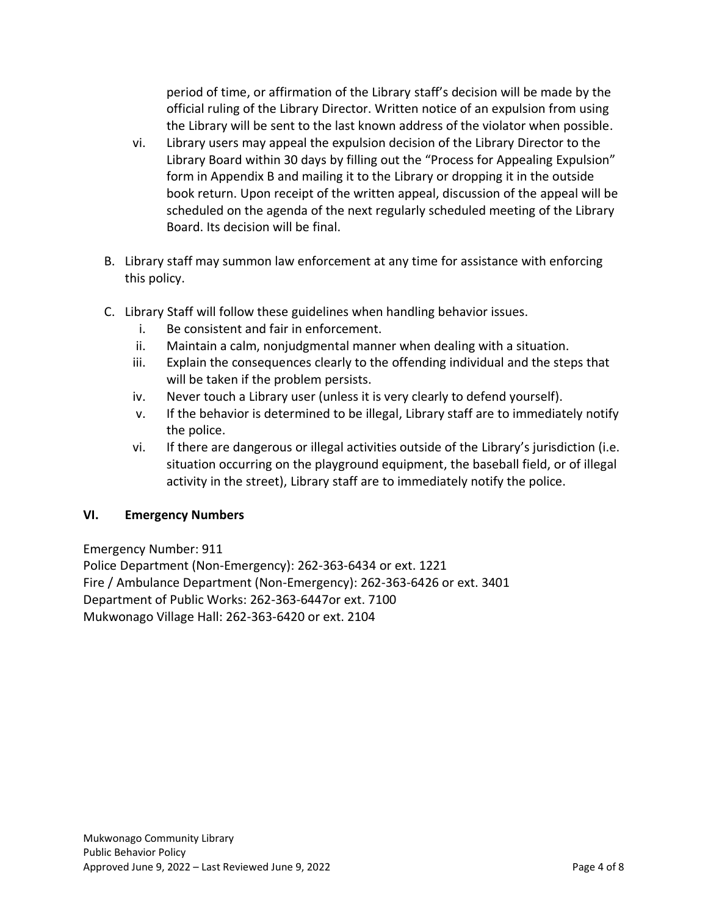period of time, or affirmation of the Library staff's decision will be made by the official ruling of the Library Director. Written notice of an expulsion from using the Library will be sent to the last known address of the violator when possible.

- vi. Library users may appeal the expulsion decision of the Library Director to the Library Board within 30 days by filling out the "Process for Appealing Expulsion" form in Appendix B and mailing it to the Library or dropping it in the outside book return. Upon receipt of the written appeal, discussion of the appeal will be scheduled on the agenda of the next regularly scheduled meeting of the Library Board. Its decision will be final.
- B. Library staff may summon law enforcement at any time for assistance with enforcing this policy.
- C. Library Staff will follow these guidelines when handling behavior issues.
	- i. Be consistent and fair in enforcement.
	- ii. Maintain a calm, nonjudgmental manner when dealing with a situation.
	- iii. Explain the consequences clearly to the offending individual and the steps that will be taken if the problem persists.
	- iv. Never touch a Library user (unless it is very clearly to defend yourself).
	- v. If the behavior is determined to be illegal, Library staff are to immediately notify the police.
	- vi. If there are dangerous or illegal activities outside of the Library's jurisdiction (i.e. situation occurring on the playground equipment, the baseball field, or of illegal activity in the street), Library staff are to immediately notify the police.

### **VI. Emergency Numbers**

Emergency Number: 911

Police Department (Non-Emergency): 262-363-6434 or ext. 1221 Fire / Ambulance Department (Non-Emergency): 262-363-6426 or ext. 3401 Department of Public Works: 262-363-6447or ext. 7100 Mukwonago Village Hall: 262-363-6420 or ext. 2104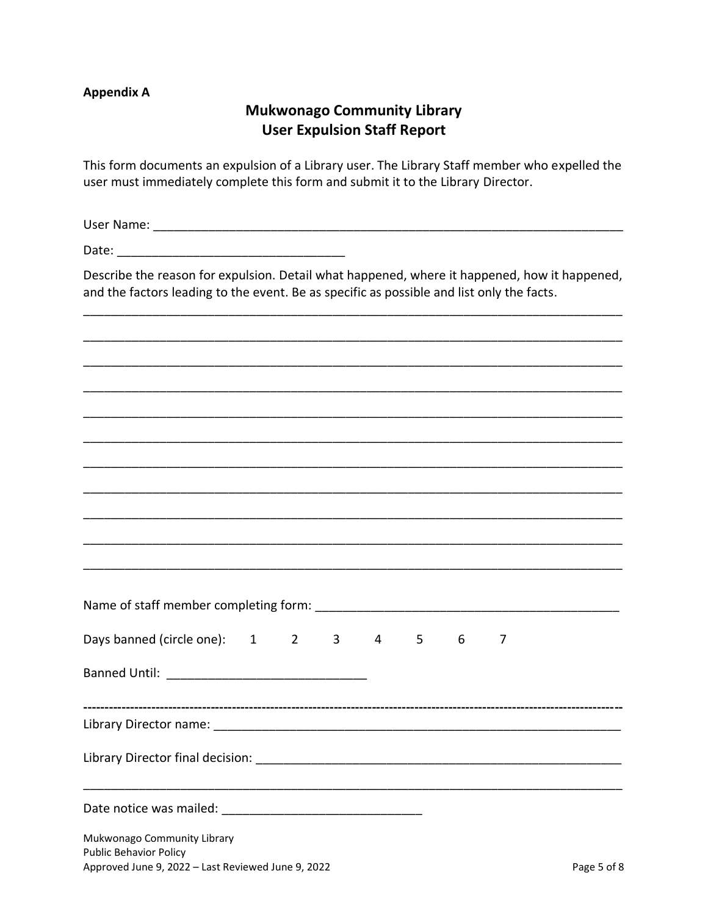#### **Appendix A**

# **Mukwonago Community Library User Expulsion Staff Report**

This form documents an expulsion of a Library user. The Library Staff member who expelled the user must immediately complete this form and submit it to the Library Director.

Describe the reason for expulsion. Detail what happened, where it happened, how it happened, and the factors leading to the event. Be as specific as possible and list only the facts.

| Days banned (circle one): 1 2 3 4 5 6                        |  |  |  |  | 7 |             |
|--------------------------------------------------------------|--|--|--|--|---|-------------|
|                                                              |  |  |  |  |   |             |
|                                                              |  |  |  |  |   |             |
|                                                              |  |  |  |  |   |             |
|                                                              |  |  |  |  |   |             |
| Mukwonago Community Library<br><b>Public Behavior Policy</b> |  |  |  |  |   |             |
| Approved June 9, 2022 - Last Reviewed June 9, 2022           |  |  |  |  |   | Page 5 of 8 |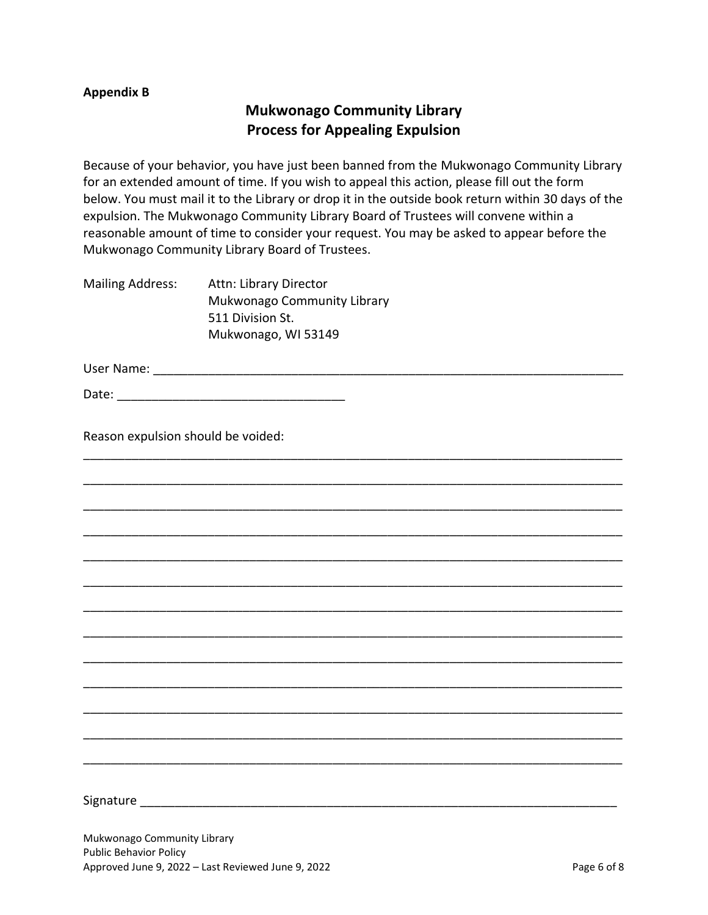#### **Appendix B**

# **Mukwonago Community Library Process for Appealing Expulsion**

Because of your behavior, you have just been banned from the Mukwonago Community Library for an extended amount of time. If you wish to appeal this action, please fill out the form below. You must mail it to the Library or drop it in the outside book return within 30 days of the expulsion. The Mukwonago Community Library Board of Trustees will convene within a reasonable amount of time to consider your request. You may be asked to appear before the Mukwonago Community Library Board of Trustees.

\_\_\_\_\_\_\_\_\_\_\_\_\_\_\_\_\_\_\_\_\_\_\_\_\_\_\_\_\_\_\_\_\_\_\_\_\_\_\_\_\_\_\_\_\_\_\_\_\_\_\_\_\_\_\_\_\_\_\_\_\_\_\_\_\_\_\_\_\_\_\_\_\_\_\_\_\_\_

\_\_\_\_\_\_\_\_\_\_\_\_\_\_\_\_\_\_\_\_\_\_\_\_\_\_\_\_\_\_\_\_\_\_\_\_\_\_\_\_\_\_\_\_\_\_\_\_\_\_\_\_\_\_\_\_\_\_\_\_\_\_\_\_\_\_\_\_\_\_\_\_\_\_\_\_\_\_

\_\_\_\_\_\_\_\_\_\_\_\_\_\_\_\_\_\_\_\_\_\_\_\_\_\_\_\_\_\_\_\_\_\_\_\_\_\_\_\_\_\_\_\_\_\_\_\_\_\_\_\_\_\_\_\_\_\_\_\_\_\_\_\_\_\_\_\_\_\_\_\_\_\_\_\_\_\_

\_\_\_\_\_\_\_\_\_\_\_\_\_\_\_\_\_\_\_\_\_\_\_\_\_\_\_\_\_\_\_\_\_\_\_\_\_\_\_\_\_\_\_\_\_\_\_\_\_\_\_\_\_\_\_\_\_\_\_\_\_\_\_\_\_\_\_\_\_\_\_\_\_\_\_\_\_\_

\_\_\_\_\_\_\_\_\_\_\_\_\_\_\_\_\_\_\_\_\_\_\_\_\_\_\_\_\_\_\_\_\_\_\_\_\_\_\_\_\_\_\_\_\_\_\_\_\_\_\_\_\_\_\_\_\_\_\_\_\_\_\_\_\_\_\_\_\_\_\_\_\_\_\_\_\_\_

\_\_\_\_\_\_\_\_\_\_\_\_\_\_\_\_\_\_\_\_\_\_\_\_\_\_\_\_\_\_\_\_\_\_\_\_\_\_\_\_\_\_\_\_\_\_\_\_\_\_\_\_\_\_\_\_\_\_\_\_\_\_\_\_\_\_\_\_\_\_\_\_\_\_\_\_\_\_

\_\_\_\_\_\_\_\_\_\_\_\_\_\_\_\_\_\_\_\_\_\_\_\_\_\_\_\_\_\_\_\_\_\_\_\_\_\_\_\_\_\_\_\_\_\_\_\_\_\_\_\_\_\_\_\_\_\_\_\_\_\_\_\_\_\_\_\_\_\_\_\_\_\_\_\_\_\_

\_\_\_\_\_\_\_\_\_\_\_\_\_\_\_\_\_\_\_\_\_\_\_\_\_\_\_\_\_\_\_\_\_\_\_\_\_\_\_\_\_\_\_\_\_\_\_\_\_\_\_\_\_\_\_\_\_\_\_\_\_\_\_\_\_\_\_\_\_\_\_\_\_\_\_\_\_\_

\_\_\_\_\_\_\_\_\_\_\_\_\_\_\_\_\_\_\_\_\_\_\_\_\_\_\_\_\_\_\_\_\_\_\_\_\_\_\_\_\_\_\_\_\_\_\_\_\_\_\_\_\_\_\_\_\_\_\_\_\_\_\_\_\_\_\_\_\_\_\_\_\_\_\_\_\_\_

\_\_\_\_\_\_\_\_\_\_\_\_\_\_\_\_\_\_\_\_\_\_\_\_\_\_\_\_\_\_\_\_\_\_\_\_\_\_\_\_\_\_\_\_\_\_\_\_\_\_\_\_\_\_\_\_\_\_\_\_\_\_\_\_\_\_\_\_\_\_\_\_\_\_\_\_\_\_

\_\_\_\_\_\_\_\_\_\_\_\_\_\_\_\_\_\_\_\_\_\_\_\_\_\_\_\_\_\_\_\_\_\_\_\_\_\_\_\_\_\_\_\_\_\_\_\_\_\_\_\_\_\_\_\_\_\_\_\_\_\_\_\_\_\_\_\_\_\_\_\_\_\_\_\_\_\_

\_\_\_\_\_\_\_\_\_\_\_\_\_\_\_\_\_\_\_\_\_\_\_\_\_\_\_\_\_\_\_\_\_\_\_\_\_\_\_\_\_\_\_\_\_\_\_\_\_\_\_\_\_\_\_\_\_\_\_\_\_\_\_\_\_\_\_\_\_\_\_\_\_\_\_\_\_\_

\_\_\_\_\_\_\_\_\_\_\_\_\_\_\_\_\_\_\_\_\_\_\_\_\_\_\_\_\_\_\_\_\_\_\_\_\_\_\_\_\_\_\_\_\_\_\_\_\_\_\_\_\_\_\_\_\_\_\_\_\_\_\_\_\_\_\_\_\_\_\_\_\_\_\_\_\_\_

Mailing Address: Attn: Library Director Mukwonago Community Library 511 Division St. Mukwonago, WI 53149

User Name: \_\_\_\_\_\_\_\_\_\_\_\_\_\_\_\_\_\_\_\_\_\_\_\_\_\_\_\_\_\_\_\_\_\_\_\_\_\_\_\_\_\_\_\_\_\_\_\_\_\_\_\_\_\_\_\_\_\_\_\_\_\_\_\_\_\_\_\_

Date: \_\_\_\_\_\_\_\_\_\_\_\_\_\_\_\_\_\_\_\_\_\_\_\_\_\_\_\_\_\_\_\_\_

Reason expulsion should be voided:

Signature \_\_\_\_\_\_\_\_\_\_\_\_\_\_\_\_\_\_\_\_\_\_\_\_\_\_\_\_\_\_\_\_\_\_\_\_\_\_\_\_\_\_\_\_\_\_\_\_\_\_\_\_\_\_\_\_\_\_\_\_\_\_\_\_\_\_\_\_\_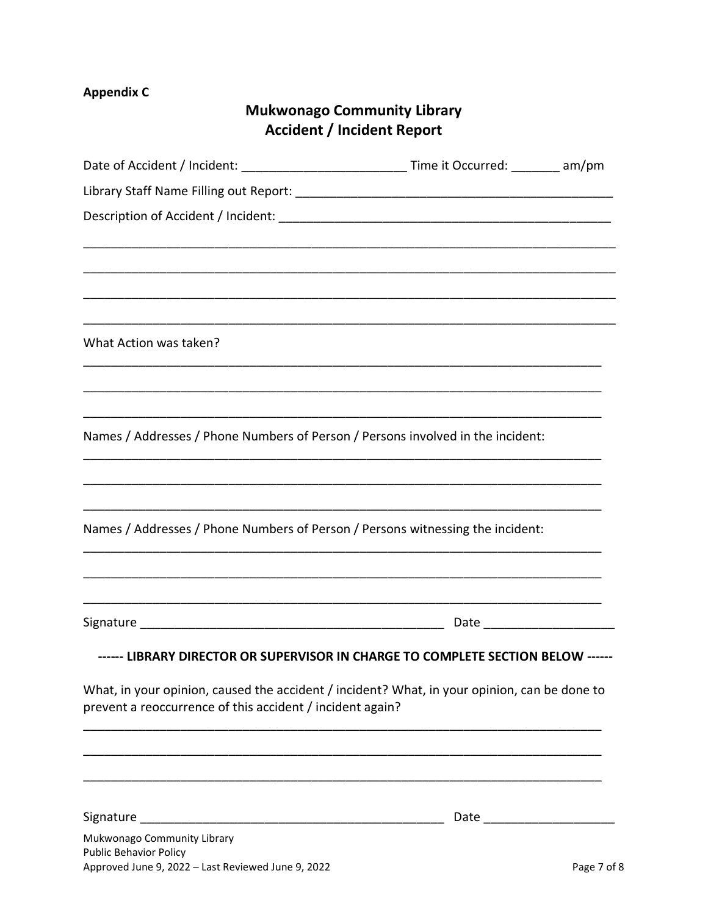# **Appendix C**

# **Mukwonago Community Library Accident / Incident Report**

| Date of Accident / Incident: ___________________________________Time it Occurred: _________ am/pm                                                         |  |
|-----------------------------------------------------------------------------------------------------------------------------------------------------------|--|
|                                                                                                                                                           |  |
|                                                                                                                                                           |  |
|                                                                                                                                                           |  |
|                                                                                                                                                           |  |
|                                                                                                                                                           |  |
| What Action was taken?                                                                                                                                    |  |
|                                                                                                                                                           |  |
| Names / Addresses / Phone Numbers of Person / Persons involved in the incident:                                                                           |  |
| Names / Addresses / Phone Numbers of Person / Persons witnessing the incident:                                                                            |  |
|                                                                                                                                                           |  |
| ------ LIBRARY DIRECTOR OR SUPERVISOR IN CHARGE TO COMPLETE SECTION BELOW ------                                                                          |  |
| What, in your opinion, caused the accident / incident? What, in your opinion, can be done to<br>prevent a reoccurrence of this accident / incident again? |  |
|                                                                                                                                                           |  |
|                                                                                                                                                           |  |
| Mukwonago Community Library<br><b>Public Behavior Policy</b>                                                                                              |  |
|                                                                                                                                                           |  |